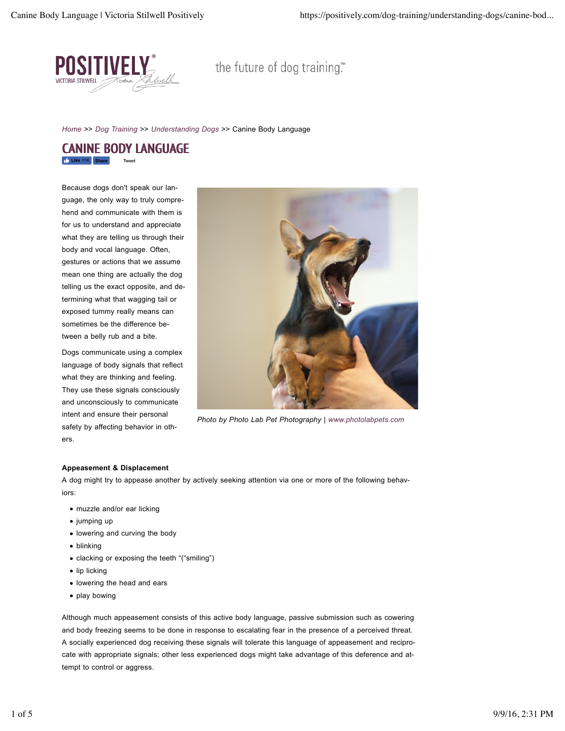

the future of dog training."

*Home* >> *Dog Training* >> *Understanding Dogs* >> Canine Body Language

# **Like** 11K CANINE BODY LANGUAGE

Because dogs don't speak our language, the only way to truly comprehend and communicate with them is for us to understand and appreciate what they are telling us through their body and vocal language. Often, gestures or actions that we assume mean one thing are actually the dog telling us the exact opposite, and determining what that wagging tail or exposed tummy really means can sometimes be the difference between a belly rub and a bite.

Dogs communicate using a complex language of body signals that reflect what they are thinking and feeling. They use these signals consciously and unconsciously to communicate intent and ensure their personal safety by affecting behavior in others.



*Photo by Photo Lab Pet Photography | www.photolabpets.com*

# **Appeasement & Displacement**

A dog might try to appease another by actively seeking attention via one or more of the following behaviors:

- muzzle and/or ear licking
- jumping up
- lowering and curving the body
- blinking
- clacking or exposing the teeth "("smiling")
- $\bullet$  lip licking
- lowering the head and ears
- play bowing

Although much appeasement consists of this active body language, passive submission such as cowering and body freezing seems to be done in response to escalating fear in the presence of a perceived threat. A socially experienced dog receiving these signals will tolerate this language of appeasement and reciprocate with appropriate signals; other less experienced dogs might take advantage of this deference and attempt to control or aggress.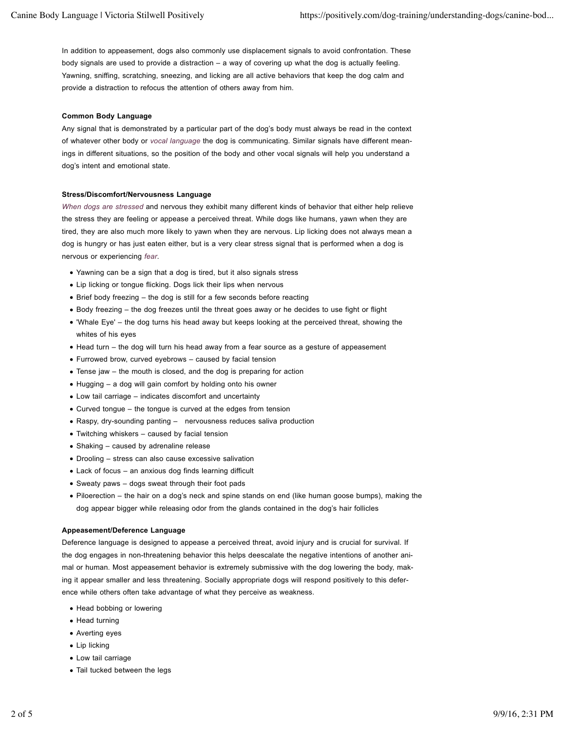In addition to appeasement, dogs also commonly use displacement signals to avoid confrontation. These body signals are used to provide a distraction – a way of covering up what the dog is actually feeling. Yawning, sniffing, scratching, sneezing, and licking are all active behaviors that keep the dog calm and provide a distraction to refocus the attention of others away from him.

#### **Common Body Language**

Any signal that is demonstrated by a particular part of the dog's body must always be read in the context of whatever other body or *vocal language* the dog is communicating. Similar signals have different meanings in different situations, so the position of the body and other vocal signals will help you understand a dog's intent and emotional state.

#### **Stress/Discomfort/Nervousness Language**

*When dogs are stressed* and nervous they exhibit many different kinds of behavior that either help relieve the stress they are feeling or appease a perceived threat. While dogs like humans, yawn when they are tired, they are also much more likely to yawn when they are nervous. Lip licking does not always mean a dog is hungry or has just eaten either, but is a very clear stress signal that is performed when a dog is nervous or experiencing *fear*.

- Yawning can be a sign that a dog is tired, but it also signals stress
- Lip licking or tongue flicking. Dogs lick their lips when nervous
- Brief body freezing the dog is still for a few seconds before reacting
- Body freezing the dog freezes until the threat goes away or he decides to use fight or flight
- 'Whale Eye' the dog turns his head away but keeps looking at the perceived threat, showing the whites of his eyes
- Head turn the dog will turn his head away from a fear source as a gesture of appeasement
- Furrowed brow, curved eyebrows caused by facial tension
- Tense jaw the mouth is closed, and the dog is preparing for action
- Hugging a dog will gain comfort by holding onto his owner
- Low tail carriage indicates discomfort and uncertainty
- Curved tongue the tongue is curved at the edges from tension
- Raspy, dry-sounding panting nervousness reduces saliva production
- Twitching whiskers caused by facial tension
- Shaking caused by adrenaline release
- Drooling stress can also cause excessive salivation
- Lack of focus an anxious dog finds learning difficult
- Sweaty paws dogs sweat through their foot pads
- Piloerection the hair on a dog's neck and spine stands on end (like human goose bumps), making the dog appear bigger while releasing odor from the glands contained in the dog's hair follicles

#### **Appeasement/Deference Language**

Deference language is designed to appease a perceived threat, avoid injury and is crucial for survival. If the dog engages in non-threatening behavior this helps deescalate the negative intentions of another animal or human. Most appeasement behavior is extremely submissive with the dog lowering the body, making it appear smaller and less threatening. Socially appropriate dogs will respond positively to this deference while others often take advantage of what they perceive as weakness.

- Head bobbing or lowering
- Head turning
- Averting eyes
- Lip licking
- Low tail carriage
- Tail tucked between the legs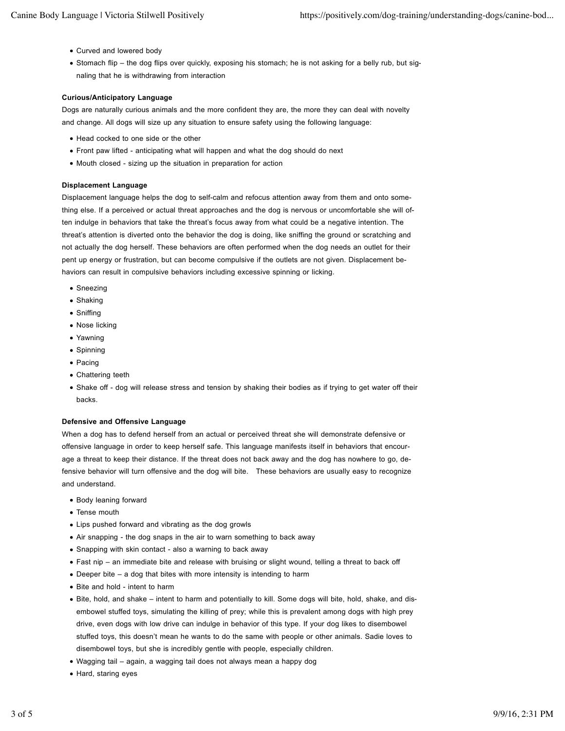- Curved and lowered body
- Stomach flip the dog flips over quickly, exposing his stomach; he is not asking for a belly rub, but signaling that he is withdrawing from interaction

## **Curious/Anticipatory Language**

Dogs are naturally curious animals and the more confident they are, the more they can deal with novelty and change. All dogs will size up any situation to ensure safety using the following language:

- Head cocked to one side or the other
- Front paw lifted anticipating what will happen and what the dog should do next
- Mouth closed sizing up the situation in preparation for action

#### **Displacement Language**

Displacement language helps the dog to self-calm and refocus attention away from them and onto something else. If a perceived or actual threat approaches and the dog is nervous or uncomfortable she will often indulge in behaviors that take the threat's focus away from what could be a negative intention. The threat's attention is diverted onto the behavior the dog is doing, like sniffing the ground or scratching and not actually the dog herself. These behaviors are often performed when the dog needs an outlet for their pent up energy or frustration, but can become compulsive if the outlets are not given. Displacement behaviors can result in compulsive behaviors including excessive spinning or licking.

- Sneezing
- Shaking
- Sniffing
- Nose licking
- Yawning
- Spinning
- Pacing
- Chattering teeth
- Shake off dog will release stress and tension by shaking their bodies as if trying to get water off their backs.

#### **Defensive and Offensive Language**

When a dog has to defend herself from an actual or perceived threat she will demonstrate defensive or offensive language in order to keep herself safe. This language manifests itself in behaviors that encourage a threat to keep their distance. If the threat does not back away and the dog has nowhere to go, defensive behavior will turn offensive and the dog will bite. These behaviors are usually easy to recognize and understand.

- Body leaning forward
- Tense mouth
- Lips pushed forward and vibrating as the dog growls
- Air snapping the dog snaps in the air to warn something to back away
- Snapping with skin contact also a warning to back away
- Fast nip an immediate bite and release with bruising or slight wound, telling a threat to back off
- Deeper bite a dog that bites with more intensity is intending to harm
- Bite and hold intent to harm
- Bite, hold, and shake intent to harm and potentially to kill. Some dogs will bite, hold, shake, and disembowel stuffed toys, simulating the killing of prey; while this is prevalent among dogs with high prey drive, even dogs with low drive can indulge in behavior of this type. If your dog likes to disembowel stuffed toys, this doesn't mean he wants to do the same with people or other animals. Sadie loves to disembowel toys, but she is incredibly gentle with people, especially children.
- Wagging tail again, a wagging tail does not always mean a happy dog
- Hard, staring eyes